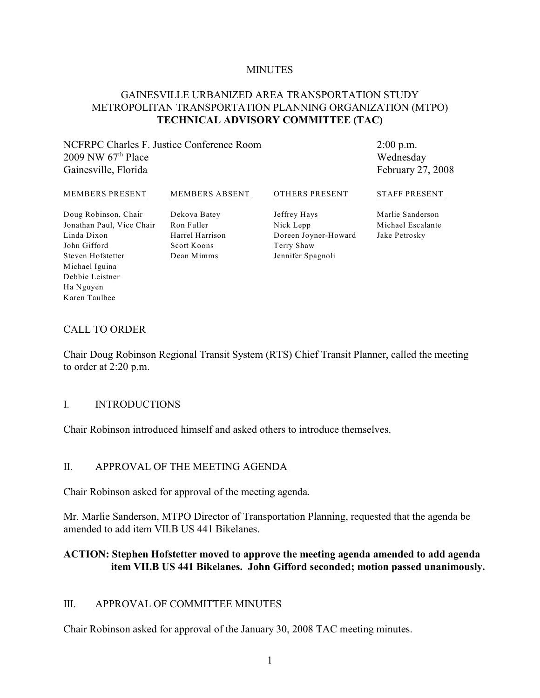#### **MINUTES**

### GAINESVILLE URBANIZED AREA TRANSPORTATION STUDY METROPOLITAN TRANSPORTATION PLANNING ORGANIZATION (MTPO) **TECHNICAL ADVISORY COMMITTEE (TAC)**

### NCFRPC Charles F. Justice Conference Room 2009 NW  $67<sup>th</sup>$  Place Gainesville, Florida

2:00 p.m. Wednesday February 27, 2008

#### MEMBERS PRESENT

MEMBERS ABSENT

### OTHERS PRESENT

Doug Robinson, Chair Jonathan Paul, Vice Chair Linda Dixon John Gifford Steven Hofstetter Michael Iguina Debbie Leistner Ha Nguyen Karen Taulbee

Dekova Batey Ron Fuller Harrel Harrison Scott Koons Dean Mimms

Jeffrey Hays Nick Lepp Doreen Joyner-Howard Terry Shaw Jennifer Spagnoli

Marlie Sanderson Michael Escalante Jake Petrosky

STAFF PRESENT

#### CALL TO ORDER

Chair Doug Robinson Regional Transit System (RTS) Chief Transit Planner, called the meeting to order at 2:20 p.m.

### I. INTRODUCTIONS

Chair Robinson introduced himself and asked others to introduce themselves.

#### II. APPROVAL OF THE MEETING AGENDA

Chair Robinson asked for approval of the meeting agenda.

Mr. Marlie Sanderson, MTPO Director of Transportation Planning, requested that the agenda be amended to add item VII.B US 441 Bikelanes.

### **ACTION: Stephen Hofstetter moved to approve the meeting agenda amended to add agenda item VII.B US 441 Bikelanes. John Gifford seconded; motion passed unanimously.**

#### III. APPROVAL OF COMMITTEE MINUTES

Chair Robinson asked for approval of the January 30, 2008 TAC meeting minutes.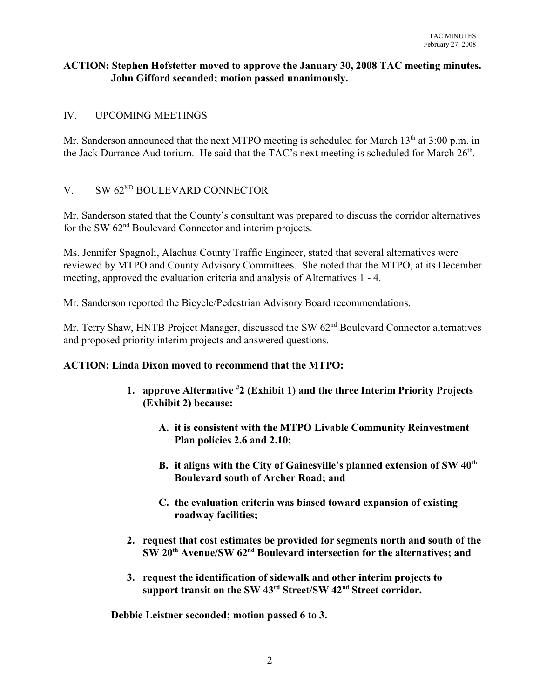### **ACTION: Stephen Hofstetter moved to approve the January 30, 2008 TAC meeting minutes. John Gifford seconded; motion passed unanimously.**

### IV. UPCOMING MEETINGS

Mr. Sanderson announced that the next MTPO meeting is scheduled for March  $13<sup>th</sup>$  at 3:00 p.m. in the Jack Durrance Auditorium. He said that the TAC's next meeting is scheduled for March  $26<sup>th</sup>$ .

### V. SW  $62^{ND}$  BOULEVARD CONNECTOR

Mr. Sanderson stated that the County's consultant was prepared to discuss the corridor alternatives for the SW  $62<sup>nd</sup>$  Boulevard Connector and interim projects.

Ms. Jennifer Spagnoli, Alachua County Traffic Engineer, stated that several alternatives were reviewed by MTPO and County Advisory Committees. She noted that the MTPO, at its December meeting, approved the evaluation criteria and analysis of Alternatives 1 - 4.

Mr. Sanderson reported the Bicycle/Pedestrian Advisory Board recommendations.

Mr. Terry Shaw, HNTB Project Manager, discussed the SW  $62<sup>nd</sup>$  Boulevard Connector alternatives and proposed priority interim projects and answered questions.

#### **ACTION: Linda Dixon moved to recommend that the MTPO:**

- **1. approve Alternative <sup>#</sup>2 (Exhibit 1) and the three Interim Priority Projects (Exhibit 2) because:**
	- **A. it is consistent with the MTPO Livable Community Reinvestment Plan policies 2.6 and 2.10;**
	- **B. it aligns with the City of Gainesville's planned extension of SW 40th Boulevard south of Archer Road; and**
	- **C. the evaluation criteria was biased toward expansion of existing roadway facilities;**
- **2. request that cost estimates be provided for segments north and south of the SW 20<sup>th</sup> Avenue/SW 62<sup>nd</sup> Boulevard intersection for the alternatives; and**
- **3. request the identification of sidewalk and other interim projects to** support transit on the SW 43<sup>rd</sup> Street/SW 42<sup>nd</sup> Street corridor.

**Debbie Leistner seconded; motion passed 6 to 3.**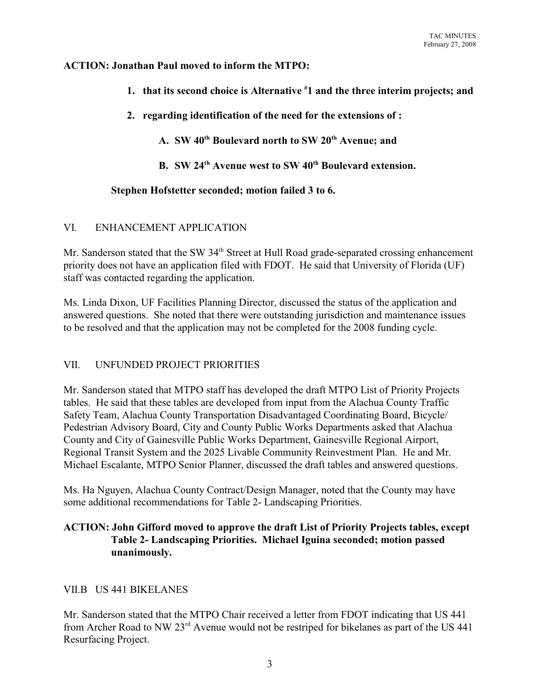### **ACTION: Jonathan Paul moved to inform the MTPO:**

- **1. that its second choice is Alternative 1 and the three interim projects; and #**
- **2. regarding identification of the need for the extensions of :**

A. **SW 40<sup>th</sup> Boulevard north to SW 20<sup>th</sup> Avenue; and** 

**B. SW 24<sup>th</sup> Avenue west to SW 40<sup>th</sup> Boulevard extension.** 

### **Stephen Hofstetter seconded; motion failed 3 to 6.**

### VI. ENHANCEMENT APPLICATION

Mr. Sanderson stated that the SW 34<sup>th</sup> Street at Hull Road grade-separated crossing enhancement priority does not have an application filed with FDOT. He said that University of Florida (UF) staff was contacted regarding the application.

Ms. Linda Dixon, UF Facilities Planning Director, discussed the status of the application and answered questions. She noted that there were outstanding jurisdiction and maintenance issues to be resolved and that the application may not be completed for the 2008 funding cycle.

## VII. UNFUNDED PROJECT PRIORITIES

Mr. Sanderson stated that MTPO staff has developed the draft MTPO List of Priority Projects tables. He said that these tables are developed from input from the Alachua County Traffic Safety Team, Alachua County Transportation Disadvantaged Coordinating Board, Bicycle/ Pedestrian Advisory Board, City and County Public Works Departments asked that Alachua County and City of Gainesville Public Works Department, Gainesville Regional Airport, Regional Transit System and the 2025 Livable Community Reinvestment Plan. He and Mr. Michael Escalante, MTPO Senior Planner, discussed the draft tables and answered questions.

Ms. Ha Nguyen, Alachua County Contract/Design Manager, noted that the County may have some additional recommendations for Table 2- Landscaping Priorities.

### **ACTION: John Gifford moved to approve the draft List of Priority Projects tables, except Table 2- Landscaping Priorities. Michael Iguina seconded; motion passed unanimously.**

### VII B US 441 BIKELANES

Mr. Sanderson stated that the MTPO Chair received a letter from FDOT indicating that US 441 from Archer Road to NW  $23<sup>rd</sup>$  Avenue would not be restriped for bikelanes as part of the US 441 Resurfacing Project.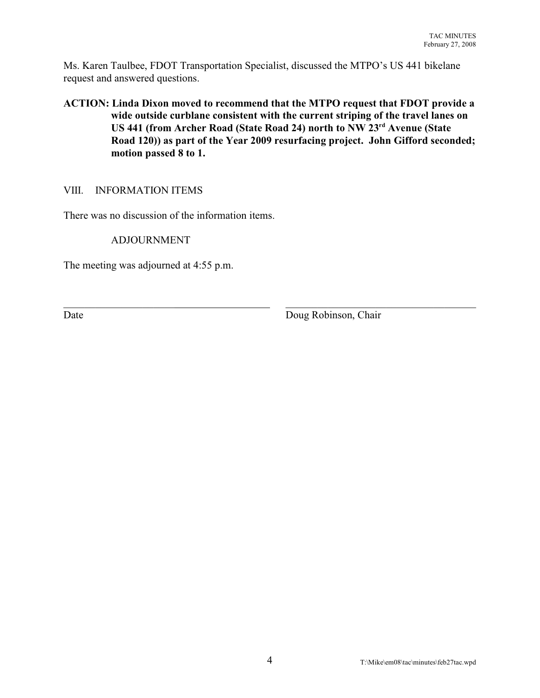Ms. Karen Taulbee, FDOT Transportation Specialist, discussed the MTPO's US 441 bikelane request and answered questions.

### **ACTION: Linda Dixon moved to recommend that the MTPO request that FDOT provide a wide outside curblane consistent with the current striping of the travel lanes on US 441 (from Archer Road (State Road 24) north to NW 23<sup>rd</sup> Avenue (State Road 120)) as part of the Year 2009 resurfacing project. John Gifford seconded; motion passed 8 to 1.**

 $\_$ 

### VIII. INFORMATION ITEMS

There was no discussion of the information items.

ADJOURNMENT

The meeting was adjourned at 4:55 p.m.

Date Doug Robinson, Chair